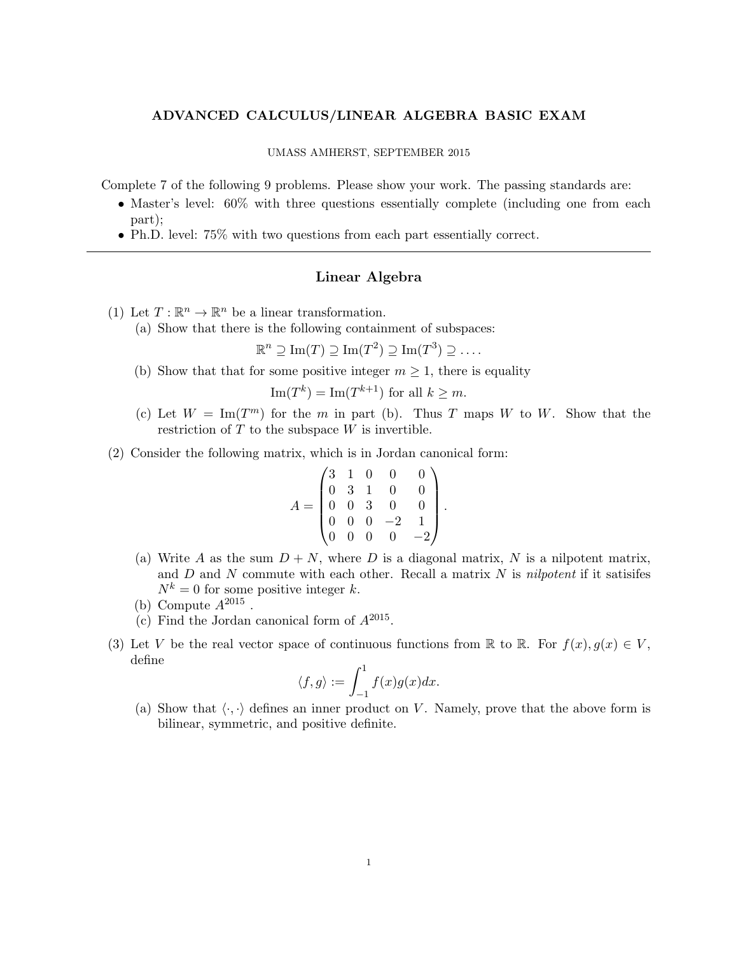## ADVANCED CALCULUS/LINEAR ALGEBRA BASIC EXAM

## UMASS AMHERST, SEPTEMBER 2015

Complete 7 of the following 9 problems. Please show your work. The passing standards are:

- Master's level: 60% with three questions essentially complete (including one from each part);
- Ph.D. level: 75% with two questions from each part essentially correct.

## Linear Algebra

- (1) Let  $T: \mathbb{R}^n \to \mathbb{R}^n$  be a linear transformation.
	- (a) Show that there is the following containment of subspaces:

 $\mathbb{R}^n \supseteq \mathrm{Im}(T) \supseteq \mathrm{Im}(T^2) \supseteq \mathrm{Im}(T^3) \supseteq \ldots$ 

(b) Show that that for some positive integer  $m \geq 1$ , there is equality

$$
\text{Im}(T^k) = \text{Im}(T^{k+1})
$$
 for all  $k \geq m$ .

- (c) Let  $W = \text{Im}(T^m)$  for the m in part (b). Thus T maps W to W. Show that the restriction of  $T$  to the subspace  $W$  is invertible.
- (2) Consider the following matrix, which is in Jordan canonical form:

$$
A = \begin{pmatrix} 3 & 1 & 0 & 0 & 0 \\ 0 & 3 & 1 & 0 & 0 \\ 0 & 0 & 3 & 0 & 0 \\ 0 & 0 & 0 & -2 & 1 \\ 0 & 0 & 0 & 0 & -2 \end{pmatrix}.
$$

- (a) Write A as the sum  $D + N$ , where D is a diagonal matrix, N is a nilpotent matrix, and  $D$  and  $N$  commute with each other. Recall a matrix  $N$  is nilpotent if it satisifes  $N^k = 0$  for some positive integer k.
- (b) Compute  $A^{2015}$ .
- (c) Find the Jordan canonical form of  $A^{2015}$ .
- (3) Let V be the real vector space of continuous functions from R to R. For  $f(x), g(x) \in V$ , define

$$
\langle f, g \rangle := \int_{-1}^{1} f(x)g(x)dx.
$$

(a) Show that  $\langle \cdot, \cdot \rangle$  defines an inner product on V. Namely, prove that the above form is bilinear, symmetric, and positive definite.